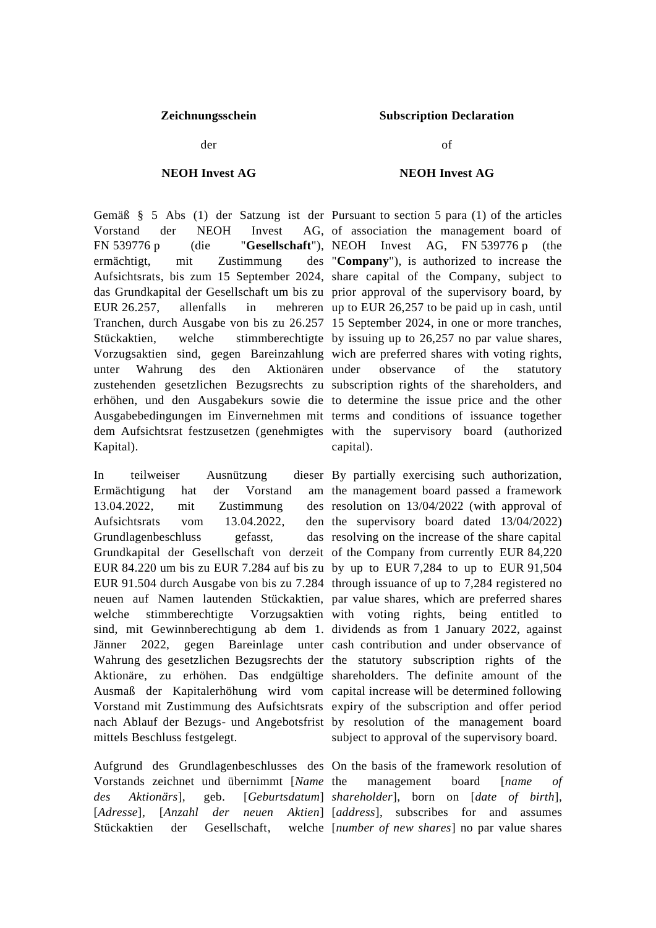der

## **NEOH Invest AG**

Vorstand der NEOH Invest FN 539776 p (die "**Gesellschaft**"), NEOH Invest AG, FN 539776 p (the ermächtigt, mit Zustimmung Aufsichtsrats, bis zum 15 September 2024, share capital of the Company, subject to das Grundkapital der Gesellschaft um bis zu prior approval of the supervisory board, by EUR  $26.257$ , allenfalls in Tranchen, durch Ausgabe von bis zu 26.257 15 September 2024, in one or more tranches, Stückaktien, welche stimmberechtigte by issuing up to 26,257 no par value shares, Vorzugsaktien sind, gegen Bareinzahlung wich are preferred shares with voting rights, unter Wahrung des den Aktionären zustehenden gesetzlichen Bezugsrechts zu subscription rights of the shareholders, and erhöhen, und den Ausgabekurs sowie die to determine the issue price and the other Ausgabebedingungen im Einvernehmen mit terms and conditions of issuance together dem Aufsichtsrat festzusetzen (genehmigtes with the supervisory board (authorized Kapital).

In teilweiser Ausnützung Ermächtigung hat der Vorstand  $13.04.2022$ , mit Zustimmung Aufsichtsrats vom 13.04.2022, Grundlagenbeschluss gefasst, Grundkapital der Gesellschaft von derzeit of the Company from currently EUR 84,220 EUR 84.220 um bis zu EUR 7.284 auf bis zu by up to EUR 7,284 to up to EUR 91,504 EUR 91.504 durch Ausgabe von bis zu 7.284 through issuance of up to 7,284 registered no neuen auf Namen lautenden Stückaktien, par value shares, which are preferred shares welche stimmberechtigte Vorzugsaktien with voting rights, being entitled to sind, mit Gewinnberechtigung ab dem 1. dividends as from 1 January 2022, against Jänner 2022, gegen Bareinlage unter cash contribution and under observance of Wahrung des gesetzlichen Bezugsrechts der the statutory subscription rights of the Aktionäre, zu erhöhen. Das endgültige shareholders. The definite amount of the Ausmaß der Kapitalerhöhung wird vom capital increase will be determined following Vorstand mit Zustimmung des Aufsichtsrats expiry of the subscription and offer period nach Ablauf der Bezugs- und Angebotsfrist by resolution of the management board mittels Beschluss festgelegt.

Aufgrund des Grundlagenbeschlusses des On the basis of the framework resolution of Vorstands zeichnet und übernimmt [*Name*  [*Adresse*], [*Anzahl der* Stückaktien der Gesellschaft,

## **Zeichnungsschein Subscription Declaration**

of

## **NEOH Invest AG**

Gemäß § 5 Abs (1) der Satzung ist der Pursuant to section 5 para (1) of the articles AG, of association the management board of "**Company**"), is authorized to increase the mehreren up to EUR 26,257 to be paid up in cash, until observance of the statutory capital).

> dieser By partially exercising such authorization, am the management board passed a framework des resolution on  $13/04/2022$  (with approval of den the supervisory board dated 13/04/2022) das resolving on the increase of the share capital subject to approval of the supervisory board.

*des Aktionärs*], geb. [*Geburtsdatum*] *shareholder*], born on [*date of birth*], management board [*name of neuen* Aktien] [address], subscribes for and assumes [*number of new shares*] no par value shares